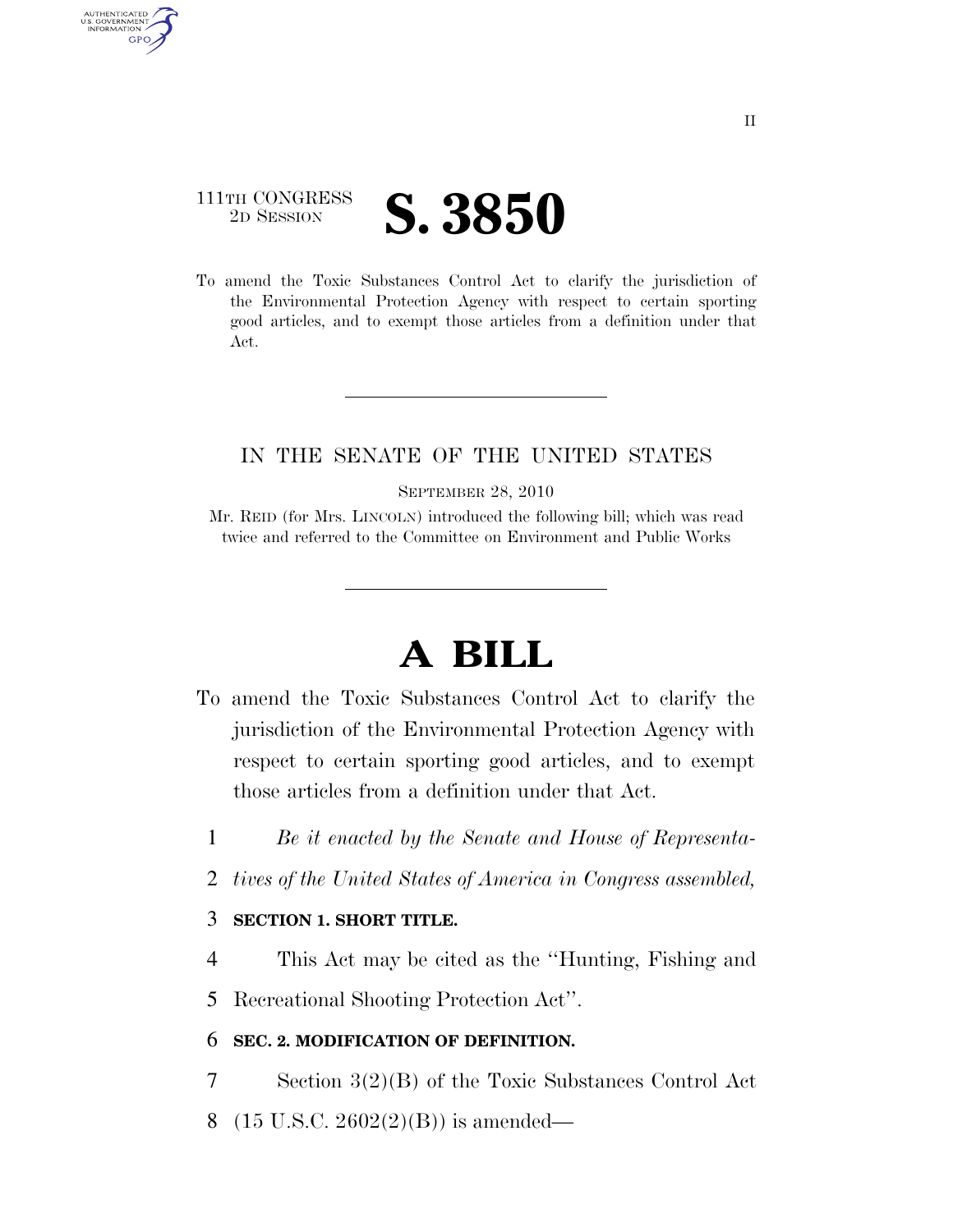## 111TH CONGRESS <sup>TH CONGRESS</sup> **S. 3850**

AUTHENTICATED U.S. GOVERNMENT **GPO** 

> To amend the Toxic Substances Control Act to clarify the jurisdiction of the Environmental Protection Agency with respect to certain sporting good articles, and to exempt those articles from a definition under that Act.

### IN THE SENATE OF THE UNITED STATES

SEPTEMBER 28, 2010

Mr. REID (for Mrs. LINCOLN) introduced the following bill; which was read twice and referred to the Committee on Environment and Public Works

# **A BILL**

- To amend the Toxic Substances Control Act to clarify the jurisdiction of the Environmental Protection Agency with respect to certain sporting good articles, and to exempt those articles from a definition under that Act.
	- 1 *Be it enacted by the Senate and House of Representa-*
	- 2 *tives of the United States of America in Congress assembled,*

### 3 **SECTION 1. SHORT TITLE.**

4 This Act may be cited as the ''Hunting, Fishing and

5 Recreational Shooting Protection Act''.

#### 6 **SEC. 2. MODIFICATION OF DEFINITION.**

- 7 Section 3(2)(B) of the Toxic Substances Control Act
- 8 (15 U.S.C. 2602(2)(B)) is amended—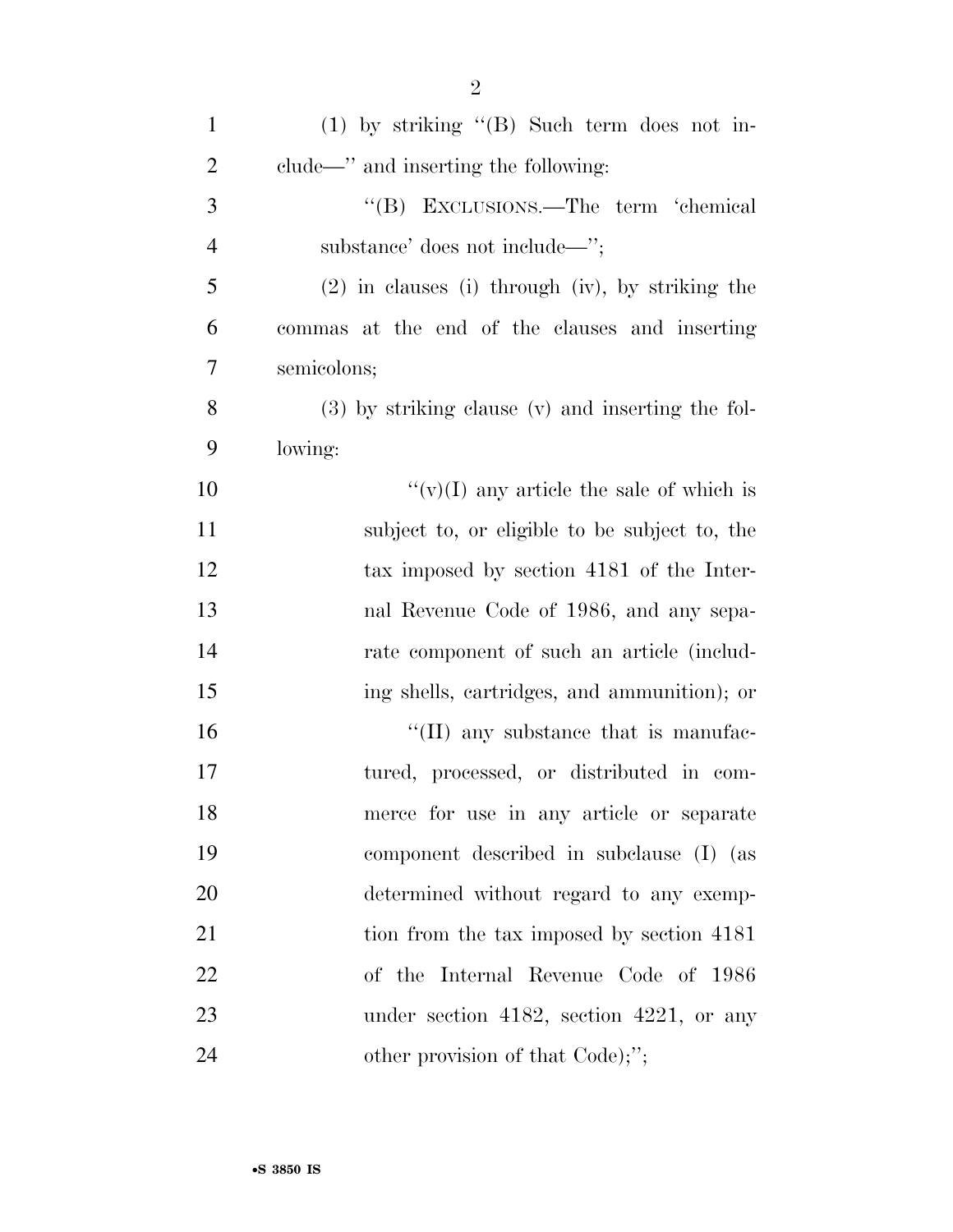| $\mathbf{1}$   | $(1)$ by striking " $(B)$ Such term does not in-      |
|----------------|-------------------------------------------------------|
| $\overline{2}$ | clude—" and inserting the following:                  |
| 3              | "(B) EXCLUSIONS.—The term 'chemical                   |
| $\overline{4}$ | substance' does not include—";                        |
| 5              | $(2)$ in clauses (i) through (iv), by striking the    |
| 6              | commas at the end of the clauses and inserting        |
| 7              | semicolons;                                           |
| 8              | $(3)$ by striking clause $(v)$ and inserting the fol- |
| 9              | lowing:                                               |
| 10             | "(v)(I) any article the sale of which is              |
| 11             | subject to, or eligible to be subject to, the         |
| 12             | tax imposed by section 4181 of the Inter-             |
| 13             | nal Revenue Code of 1986, and any sepa-               |
| 14             | rate component of such an article (includ-            |
| 15             | ing shells, cartridges, and ammunition); or           |
| 16             | $\lq$ (II) any substance that is manufac-             |
| 17             | tured, processed, or distributed in com-              |
| 18             | merce for use in any article or separate              |
| 19             | component described in subclause (I) (as              |
| 20             | determined without regard to any exemp-               |
| 21             | tion from the tax imposed by section 4181             |
| 22             | of the Internal Revenue Code of 1986                  |
| 23             | under section 4182, section 4221, or any              |
| 24             | other provision of that Code);";                      |